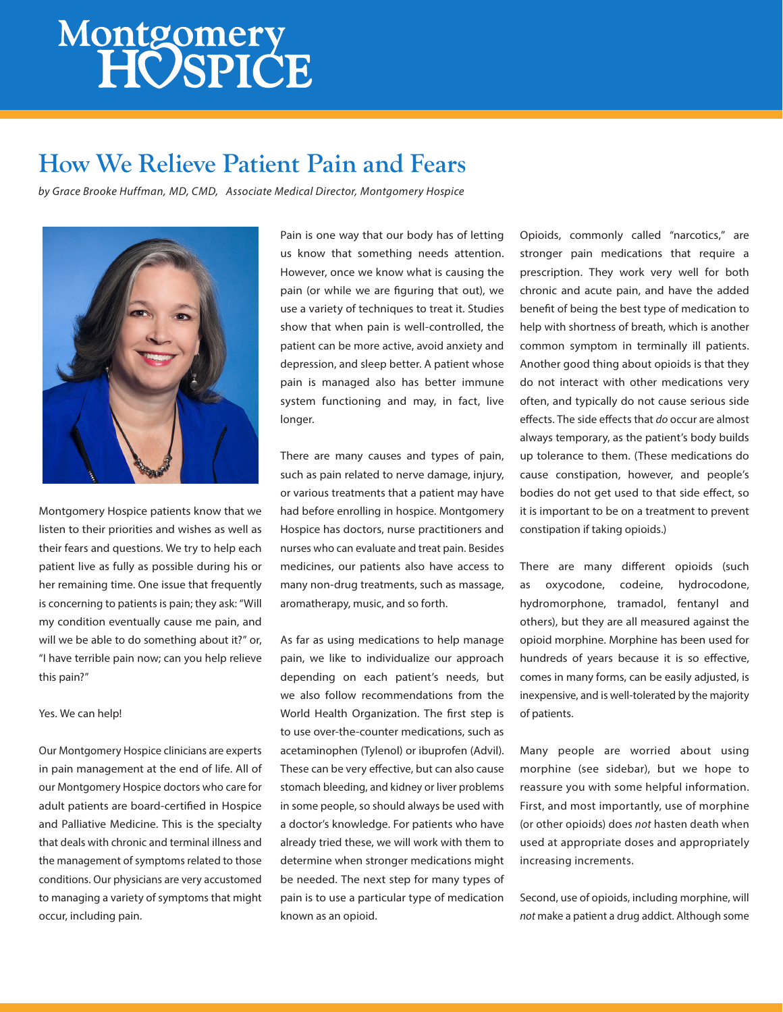# Montgomery<br>HOSPICE

### **How We Relieve Patient Pain and Fears**

*by Grace Brooke Huffman, MD, CMD, Associate Medical Director, Montgomery Hospice* 



Montgomery Hospice patients know that we listen to their priorities and wishes as well as their fears and questions. We try to help each patient live as fully as possible during his or her remaining time. One issue that frequently is concerning to patients is pain; they ask: "Will my condition eventually cause me pain, and will we be able to do something about it?" or, "I have terrible pain now; can you help relieve this pain?"

#### Yes. We can help!

Our Montgomery Hospice clinicians are experts in pain management at the end of life. All of our Montgomery Hospice doctors who care for adult patients are board-certified in Hospice and Palliative Medicine. This is the specialty that deals with chronic and terminal illness and the management of symptoms related to those conditions. Our physicians are very accustomed to managing a variety of symptoms that might occur, including pain.

Pain is one way that our body has of letting us know that something needs attention. However, once we know what is causing the pain (or while we are figuring that out), we use a variety of techniques to treat it. Studies show that when pain is well-controlled, the patient can be more active, avoid anxiety and depression, and sleep better. A patient whose pain is managed also has better immune system functioning and may, in fact, live longer.

There are many causes and types of pain, such as pain related to nerve damage, injury, or various treatments that a patient may have had before enrolling in hospice. Montgomery Hospice has doctors, nurse practitioners and nurses who can evaluate and treat pain. Besides medicines, our patients also have access to many non-drug treatments, such as massage, aromatherapy, music, and so forth.

As far as using medications to help manage pain, we like to individualize our approach depending on each patient's needs, but we also follow recommendations from the World Health Organization. The first step is to use over-the-counter medications, such as acetaminophen (Tylenol) or ibuprofen (Advil). These can be very effective, but can also cause stomach bleeding, and kidney or liver problems in some people, so should always be used with a doctor's knowledge. For patients who have already tried these, we will work with them to determine when stronger medications might be needed. The next step for many types of pain is to use a particular type of medication known as an opioid.

Opioids, commonly called "narcotics," are stronger pain medications that require a prescription. They work very well for both chronic and acute pain, and have the added benefit of being the best type of medication to help with shortness of breath, which is another common symptom in terminally ill patients. Another good thing about opioids is that they do not interact with other medications very often, and typically do not cause serious side effects. The side effects that *do* occur are almost always temporary, as the patient's body builds up tolerance to them. (These medications do cause constipation, however, and people's bodies do not get used to that side effect, so it is important to be on a treatment to prevent constipation if taking opioids.)

There are many different opioids (such as oxycodone, codeine, hydrocodone, hydromorphone, tramadol, fentanyl and others), but they are all measured against the opioid morphine. Morphine has been used for hundreds of years because it is so effective, comes in many forms, can be easily adjusted, is inexpensive, and is well-tolerated by the majority of patients.

Many people are worried about using morphine (see sidebar), but we hope to reassure you with some helpful information. First, and most importantly, use of morphine (or other opioids) does *not* hasten death when used at appropriate doses and appropriately increasing increments.

Second, use of opioids, including morphine, will *not* make a patient a drug addict. Although some